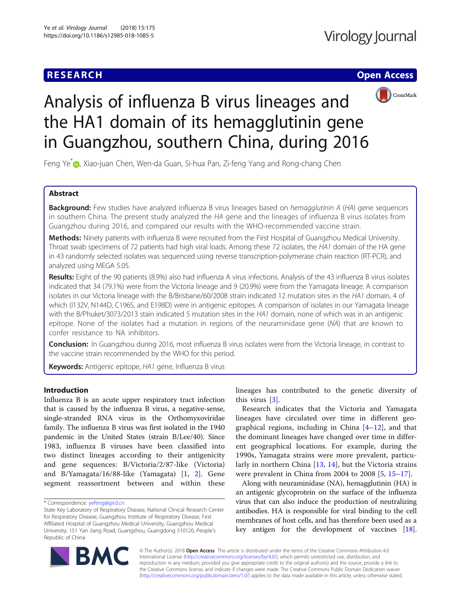## **RESEARCH CHE Open Access**



# Analysis of influenza B virus lineages and the HA1 domain of its hemagglutinin gene in Guangzhou, southern China, during 2016

Feng Ye<sup>\*</sup> <sub>(D</sub>[,](http://orcid.org/0000-0002-1176-1038) Xiao-juan Chen, Wen-da Guan, Si-hua Pan, Zi-feng Yang and Rong-chang Chen

## Abstract

Background: Few studies have analyzed influenza B virus lineages based on hemagglutinin A (HA) gene sequences in southern China. The present study analyzed the HA gene and the lineages of influenza B virus isolates from Guangzhou during 2016, and compared our results with the WHO-recommended vaccine strain.

Methods: Ninety patients with influenza B were recruited from the First Hospital of Guangzhou Medical University. Throat swab specimens of 72 patients had high viral loads. Among these 72 isolates, the HA1 domain of the HA gene in 43 randomly selected isolates was sequenced using reverse transcription-polymerase chain reaction (RT-PCR), and analyzed using MEGA 5.05.

Results: Eight of the 90 patients (8.9%) also had influenza A virus infections. Analysis of the 43 influenza B virus isolates indicated that 34 (79.1%) were from the Victoria lineage and 9 (20.9%) were from the Yamagata lineage. A comparison isolates in our Victoria lineage with the B/Brisbane/60/2008 strain indicated 12 mutation sites in the HA1 domain, 4 of which (I132V, N144D, C196S, and E198D) were in antigenic epitopes. A comparison of isolates in our Yamagata lineage with the B/Phuket/3073/2013 stain indicated 5 mutation sites in the HA1 domain, none of which was in an antigenic epitope. None of the isolates had a mutation in regions of the neuraminidase gene (NA) that are known to confer resistance to NA inhibitors.

**Conclusion:** In Guangzhou during 2016, most influenza B virus isolates were from the Victoria lineage, in contrast to the vaccine strain recommended by the WHO for this period.

Keywords: Antigenic epitope, HA1 gene, Influenza B virus

## Introduction

Influenza B is an acute upper respiratory tract infection that is caused by the influenza B virus, a negative-sense, single-stranded RNA virus in the Orthomyxoviridae family. The influenza B virus was first isolated in the 1940 pandemic in the United States (strain B/Lee/40). Since 1983, influenza B viruses have been classified into two distinct lineages according to their antigenicity and gene sequences: B/Victoria/2/87-like (Victoria) and B/Yamagata/16/88-like (Yamagata) [\[1](#page-6-0), [2](#page-6-0)]. Gene segment reassortment between and within these

lineages has contributed to the genetic diversity of this virus [\[3](#page-6-0)].

Research indicates that the Victoria and Yamagata lineages have circulated over time in different geographical regions, including in China  $[4-12]$  $[4-12]$  $[4-12]$  $[4-12]$ , and that the dominant lineages have changed over time in different geographical locations. For example, during the 1990s, Yamagata strains were more prevalent, particularly in northern China [\[13](#page-6-0), [14](#page-7-0)], but the Victoria strains were prevalent in China from 2004 to 2008 [\[5](#page-6-0), [15](#page-7-0)–[17\]](#page-7-0).

Along with neuraminidase (NA), hemagglutinin (HA) is an antigenic glycoprotein on the surface of the influenza virus that can also induce the production of neutralizing antibodies. HA is responsible for viral binding to the cell membranes of host cells, and has therefore been used as a key antigen for the development of vaccines [[18](#page-7-0)].



© The Author(s). 2018 Open Access This article is distributed under the terms of the Creative Commons Attribution 4.0 International License [\(http://creativecommons.org/licenses/by/4.0/](http://creativecommons.org/licenses/by/4.0/)), which permits unrestricted use, distribution, and reproduction in any medium, provided you give appropriate credit to the original author(s) and the source, provide a link to the Creative Commons license, and indicate if changes were made. The Creative Commons Public Domain Dedication waiver [\(http://creativecommons.org/publicdomain/zero/1.0/](http://creativecommons.org/publicdomain/zero/1.0/)) applies to the data made available in this article, unless otherwise stated.

<sup>\*</sup> Correspondence: [yefeng@gird.cn](mailto:yefeng@gird.cn)

State Key Laboratory of Respiratory Disease, National Clinical Research Center for Respiratory Disease; Guangzhou Institute of Respiratory Disease, First Affiliated Hospital of Guangzhou Medical University, Guangzhou Medical University, 151 Yan Jiang Road, Guangzhou, Guangdong 510120, People's Republic of China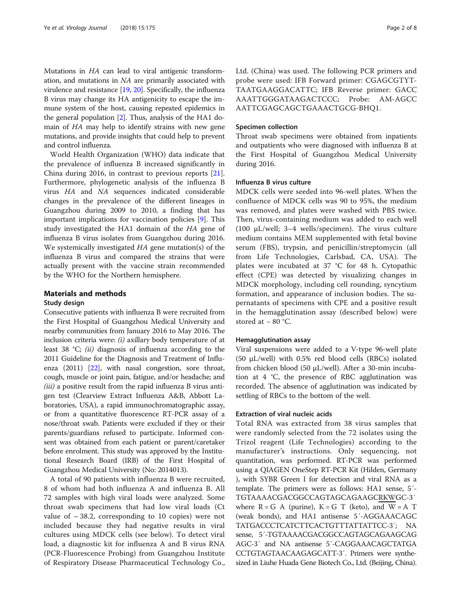Mutations in HA can lead to viral antigenic transformation, and mutations in NA are primarily associated with virulence and resistance [\[19,](#page-7-0) [20\]](#page-7-0). Specifically, the influenza B virus may change its HA antigenicity to escape the immune system of the host, causing repeated epidemics in the general population [\[2](#page-6-0)]. Thus, analysis of the HA1 domain of HA may help to identify strains with new gene mutations, and provide insights that could help to prevent and control influenza.

World Health Organization (WHO) data indicate that the prevalence of influenza B increased significantly in China during 2016, in contrast to previous reports [\[21](#page-7-0)]. Furthermore, phylogenetic analysis of the influenza B virus HA and NA sequences indicated considerable changes in the prevalence of the different lineages in Guangzhou during 2009 to 2010, a finding that has important implications for vaccination policies [\[9](#page-6-0)]. This study investigated the HA1 domain of the HA gene of influenza B virus isolates from Guangzhou during 2016. We systemically investigated HA gene mutation(s) of the influenza B virus and compared the strains that were actually present with the vaccine strain recommended by the WHO for the Northern hemisphere.

#### Materials and methods

#### Study design

Consecutive patients with influenza B were recruited from the First Hospital of Guangzhou Medical University and nearby communities from January 2016 to May 2016. The inclusion criteria were:  $(i)$  axillary body temperature of at least 38 °C; (ii) diagnosis of influenza according to the 2011 Guideline for the Diagnosis and Treatment of Influenza (2011) [[22](#page-7-0)], with nasal congestion, sore throat, cough, muscle or joint pain, fatigue, and/or headache; and  $(iii)$  a positive result from the rapid influenza B virus antigen test (Clearview Extract Influenza A&B, Abbott Laboratories, USA), a rapid immunochromatographic assay, or from a quantitative fluorescence RT-PCR assay of a nose/throat swab. Patients were excluded if they or their parents/guardians refused to participate. Informed consent was obtained from each patient or parent/caretaker before enrolment. This study was approved by the Institutional Research Board (IRB) of the First Hospital of Guangzhou Medical University (No: 2014013).

A total of 90 patients with influenza B were recruited, 8 of whom had both influenza A and influenza B. All 72 samples with high viral loads were analyzed. Some throat swab specimens that had low viral loads (Ct value of  $\sim$  38.2, corresponding to 10 copies) were not included because they had negative results in viral cultures using MDCK cells (see below). To detect viral load, a diagnostic kit for influenza A and B virus RNA (PCR-Fluorescence Probing) from Guangzhou Institute of Respiratory Disease Pharmaceutical Technology Co., Ltd. (China) was used. The following PCR primers and probe were used: IFB Forward primer: CGAGCGTYT-TAATGAAGGACATTC; IFB Reverse primer: GACC AAATTGGGATAAGACTCCC; Probe: AM-AGCC AATTCGAGCAGCTGAAACTGCG-BHQ1.

#### Specimen collection

Throat swab specimens were obtained from inpatients and outpatients who were diagnosed with influenza B at the First Hospital of Guangzhou Medical University during 2016.

#### Influenza B virus culture

MDCK cells were seeded into 96-well plates. When the confluence of MDCK cells was 90 to 95%, the medium was removed, and plates were washed with PBS twice. Then, virus-containing medium was added to each well (100 μL/well; 3–4 wells/specimen). The virus culture medium contains MEM supplemented with fetal bovine serum (FBS), trypsin, and penicillin/streptomycin (all from Life Technologies, Carlsbad, CA, USA). The plates were incubated at 37 °C for 48 h. Cytopathic effect (CPE) was detected by visualizing changes in MDCK morphology, including cell rounding, syncytium formation, and appearance of inclusion bodies. The supernatants of specimens with CPE and a positive result in the hemagglutination assay (described below) were stored at  $-80$  °C.

#### Hemagglutination assay

Viral suspensions were added to a V-type 96-well plate (50 μL/well) with 0.5% red blood cells (RBCs) isolated from chicken blood (50 μL/well). After a 30-min incubation at 4 °C, the presence of RBC agglutination was recorded. The absence of agglutination was indicated by settling of RBCs to the bottom of the well.

## Extraction of viral nucleic acids

Total RNA was extracted from 38 virus samples that were randomly selected from the 72 isolates using the Trizol reagent (Life Technologies) according to the manufacturer's instructions. Only sequencing, not quantitation, was performed. RT-PCR was performed using a QIAGEN OneStep RT-PCR Kit (Hilden, Germany ), with SYBR Green I for detection and viral RNA as a template. The primers were as follows: HA1 sense, 5´- TGTAAAACGACGGCCAGTAGCAGAAGCRKWGC-3′ where  $R = G A$  (purine),  $K = G T$  (keto), and  $W = A T$ (weak bonds), and HA1 antisense 5´-AGGAAACAGC TATGACCCTCATCTTCACTGTTTATTATTCC-3′; NA sense, 5´-TGTAAAACGACGGCCAGTAGCAGAAGCAG AGC-3′ and NA antisense 5´-CAGGAAACAGCTATGA CCTGTAGTAACAAGAGCATT-3′. Primers were synthesized in Liuhe Huada Gene Biotech Co., Ltd. (Beijing, China).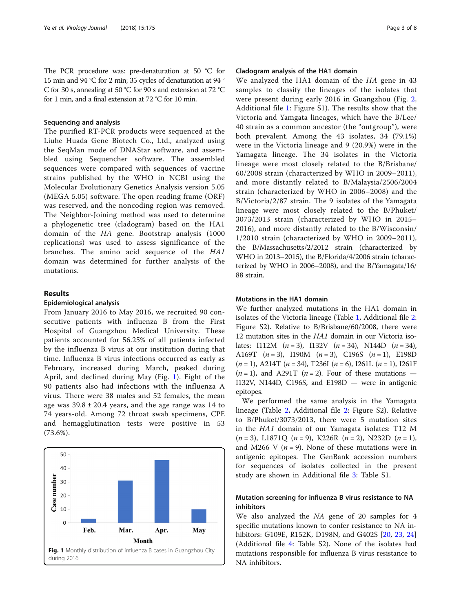The PCR procedure was: pre-denaturation at 50 °C for 15 min and 94 °C for 2 min; 35 cycles of denaturation at 94 ° C for 30 s, annealing at 50 °C for 90 s and extension at 72 °C for 1 min, and a final extension at 72 °C for 10 min.

## Sequencing and analysis

The purified RT-PCR products were sequenced at the Liuhe Huada Gene Biotech Co., Ltd., analyzed using the SeqMan mode of DNAStar software, and assembled using Sequencher software. The assembled sequences were compared with sequences of vaccine strains published by the WHO in NCBI using the Molecular Evolutionary Genetics Analysis version 5.05 (MEGA 5.05) software. The open reading frame (ORF) was reserved, and the noncoding region was removed. The Neighbor-Joining method was used to determine a phylogenetic tree (cladogram) based on the HA1 domain of the HA gene. Bootstrap analysis (1000 replications) was used to assess significance of the branches. The amino acid sequence of the HA1 domain was determined for further analysis of the mutations.

## Results

#### Epidemiological analysis

From January 2016 to May 2016, we recruited 90 consecutive patients with influenza B from the First Hospital of Guangzhou Medical University. These patients accounted for 56.25% of all patients infected by the influenza B virus at our institution during that time. Influenza B virus infections occurred as early as February, increased during March, peaked during April, and declined during May (Fig. 1). Eight of the 90 patients also had infections with the influenza A virus. There were 38 males and 52 females, the mean age was  $39.8 \pm 20.4$  years, and the age range was 14 to 74 years-old. Among 72 throat swab specimens, CPE and hemagglutination tests were positive in 53 (73.6%).



## Cladogram analysis of the HA1 domain

We analyzed the HA1 domain of the HA gene in 43 samples to classify the lineages of the isolates that were present during early 2016 in Guangzhou (Fig. [2](#page-3-0), Additional file [1](#page-6-0): Figure S1). The results show that the Victoria and Yamgata lineages, which have the B/Lee/ 40 strain as a common ancestor (the "outgroup"), were both prevalent. Among the 43 isolates, 34 (79.1%) were in the Victoria lineage and 9 (20.9%) were in the Yamagata lineage. The 34 isolates in the Victoria lineage were most closely related to the B/Brisbane/ 60/2008 strain (characterized by WHO in 2009–2011), and more distantly related to B/Malaysia/2506/2004 strain (characterized by WHO in 2006–2008) and the B/Victoria/2/87 strain. The 9 isolates of the Yamagata lineage were most closely related to the B/Phuket/ 3073/2013 strain (characterized by WHO in 2015– 2016), and more distantly related to the B/Wisconsin/ 1/2010 strain (characterized by WHO in 2009–2011), the B/Massachusetts/2/2012 strain (characterized by WHO in 2013–2015), the B/Florida/4/2006 strain (characterized by WHO in 2006–2008), and the B/Yamagata/16/ 88 strain.

## Mutations in the HA1 domain

We further analyzed mutations in the HA1 domain in isolates of the Victoria lineage (Table [1,](#page-4-0) Additional file [2](#page-6-0): Figure S2). Relative to B/Brisbane/60/2008, there were 12 mutation sites in the HA1 domain in our Victoria isolates: I112M  $(n = 3)$ , I132V  $(n = 34)$ , N144D  $(n = 34)$ , A169T  $(n = 3)$ , I190M  $(n = 3)$ , C196S  $(n = 1)$ , E198D  $(n = 1)$ , A214T  $(n = 34)$ , T236I  $(n = 6)$ , I261L  $(n = 1)$ , I261F  $(n = 1)$ , and A291T  $(n = 2)$ . Four of these mutations – I132V, N144D, C196S, and E198D — were in antigenic epitopes.

We performed the same analysis in the Yamagata lineage (Table [2,](#page-4-0) Additional file [2](#page-6-0): Figure S2). Relative to B/Phuket/3073/2013, there were 5 mutation sites in the HA1 domain of our Yamagata isolates: T12 M  $(n = 3)$ , L1871Q  $(n = 9)$ , K226R  $(n = 2)$ , N232D  $(n = 1)$ , and M266 V  $(n = 9)$ . None of these mutations were in antigenic epitopes. The GenBank accession numbers for sequences of isolates collected in the present study are shown in Additional file [3](#page-6-0): Table S1.

## Mutation screening for influenza B virus resistance to NA inhibitors

We also analyzed the NA gene of 20 samples for 4 specific mutations known to confer resistance to NA inhibitors: G109E, R152K, D198N, and G402S [[20,](#page-7-0) [23](#page-7-0), [24](#page-7-0)] (Additional file [4:](#page-6-0) Table S2). None of the isolates had mutations responsible for influenza B virus resistance to NA inhibitors.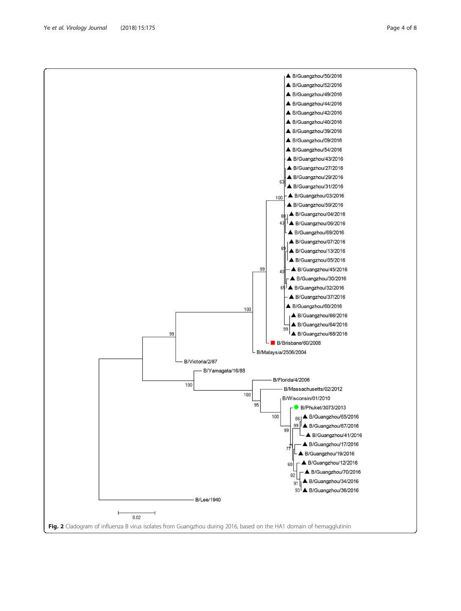<span id="page-3-0"></span>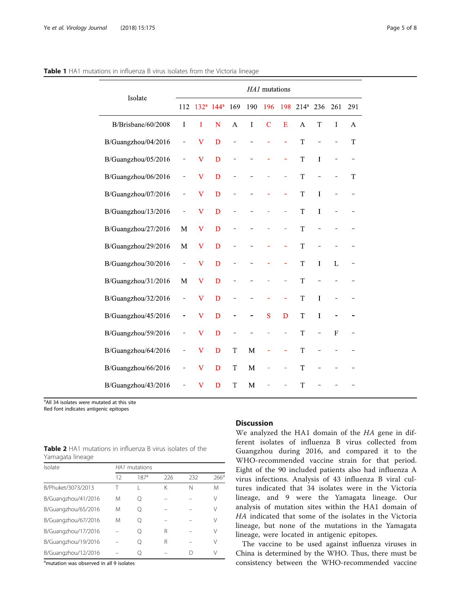| Isolate             | HA1 mutations |                         |                  |     |     |             |     |                  |                          |             |     |
|---------------------|---------------|-------------------------|------------------|-----|-----|-------------|-----|------------------|--------------------------|-------------|-----|
|                     | 112           | 132 <sup>a</sup>        | 144 <sup>a</sup> | 169 | 190 | 196         | 198 | 214 <sup>a</sup> | 236                      | 261         | 291 |
| B/Brisbane/60/2008  | I             | T                       | N                | A   | Ι   | $\mathbf C$ | E   | A                | T                        | I           | A   |
| B/Guangzhou/04/2016 | -             | $\bf{V}$                | D                |     |     |             |     | T                | ÷                        |             | T   |
| B/Guangzhou/05/2016 | -             | $\bf{V}$                | D                |     |     |             | ÷,  | T                | $\bf I$                  |             |     |
| B/Guangzhou/06/2016 | -             | $\bf V$                 | D                |     |     |             |     | T                | ÷                        |             | T   |
| B/Guangzhou/07/2016 | -             | $\mathbf v$             | D                |     |     |             |     | T                | T                        |             |     |
| B/Guangzhou/13/2016 | -             | $\bf V$                 | $\mathbf D$      |     |     |             | ÷,  | T                | I                        |             |     |
| B/Guangzhou/27/2016 | M             | $\bf V$                 | D                |     |     |             | -   | T                | $\overline{\phantom{0}}$ |             |     |
| B/Guangzhou/29/2016 | M             | $\bf{V}$                | D                |     |     |             | ÷,  | T                | ÷                        |             |     |
| B/Guangzhou/30/2016 | -             | $\bf V$                 | D                |     |     |             | ÷,  | T                | I                        | L           |     |
| B/Guangzhou/31/2016 | M             | $\overline{\mathbf{V}}$ | D                |     |     |             |     | T                |                          |             |     |
| B/Guangzhou/32/2016 | ÷             | $\bf V$                 | D                |     |     |             |     | T                | $\mathbf{I}$             |             |     |
| B/Guangzhou/45/2016 | ÷             | $\bf V$                 | $\mathbf D$      |     | -   | S           | D   | T                | I                        |             |     |
| B/Guangzhou/59/2016 | -             | $\bf V$                 | D                |     |     |             | ÷   | T                | $\overline{\phantom{0}}$ | $\mathbf F$ |     |
| B/Guangzhou/64/2016 | -             | $\bf V$                 | $\mathbf D$      | T   | M   | ÷,          | ÷,  | T                |                          |             |     |
| B/Guangzhou/66/2016 | -             | V                       | $\mathbf D$      | T   | M   |             |     | T                |                          |             |     |
| B/Guangzhou/43/2016 |               | V                       | D                | T   | M   |             |     | T                |                          |             |     |

### <span id="page-4-0"></span>Table 1 HA1 mutations in influenza B virus isolates from the Victoria lineage

<sup>a</sup>All 34 isolates were mutated at this site

Red font indicates antigenic epitopes

| <b>Table 2</b> HA1 mutations in influenza B virus isolates of the |  |  |  |  |
|-------------------------------------------------------------------|--|--|--|--|
| Yamagata lineage                                                  |  |  |  |  |

| Isolate             | HA1 mutations |                  |     |     |                  |  |  |  |  |
|---------------------|---------------|------------------|-----|-----|------------------|--|--|--|--|
|                     | 12            | 187 <sup>a</sup> | 226 | 232 | 266 <sup>a</sup> |  |  |  |  |
| B/Phuket/3073/2013  |               |                  | Κ   | N   | M                |  |  |  |  |
| B/Guangzhou/41/2016 | M             | Ω                |     |     | V                |  |  |  |  |
| B/Guangzhou/65/2016 | M             | Ω                |     |     | V                |  |  |  |  |
| B/Guangzhou/67/2016 | M             |                  |     |     | ν                |  |  |  |  |
| B/Guangzhou/17/2016 |               |                  | R   |     | ٧                |  |  |  |  |
| B/Guangzhou/19/2016 |               |                  | R   |     | V                |  |  |  |  |
| B/Guangzhou/12/2016 |               |                  |     |     | V                |  |  |  |  |

<sup>a</sup>mutation was observed in all 9 isolates

## **Discussion**

We analyzed the HA1 domain of the HA gene in different isolates of influenza B virus collected from Guangzhou during 2016, and compared it to the WHO-recommended vaccine strain for that period. Eight of the 90 included patients also had influenza A virus infections. Analysis of 43 influenza B viral cultures indicated that 34 isolates were in the Victoria lineage, and 9 were the Yamagata lineage. Our analysis of mutation sites within the HA1 domain of HA indicated that some of the isolates in the Victoria lineage, but none of the mutations in the Yamagata lineage, were located in antigenic epitopes.

The vaccine to be used against influenza viruses in China is determined by the WHO. Thus, there must be consistency between the WHO-recommended vaccine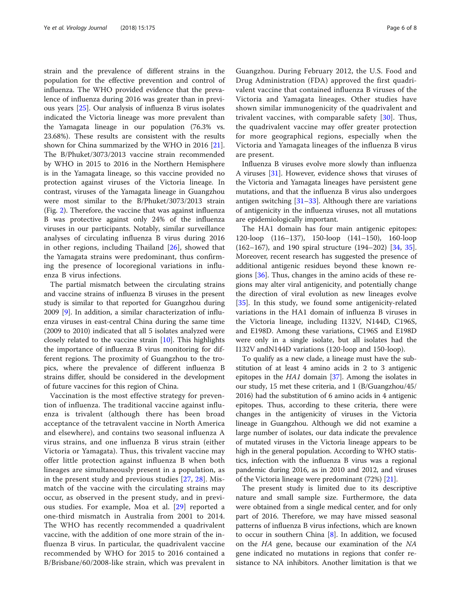strain and the prevalence of different strains in the population for the effective prevention and control of influenza. The WHO provided evidence that the prevalence of influenza during 2016 was greater than in previous years [[25\]](#page-7-0). Our analysis of influenza B virus isolates indicated the Victoria lineage was more prevalent than the Yamagata lineage in our population (76.3% vs. 23.68%). These results are consistent with the results shown for China summarized by the WHO in 2016 [\[21](#page-7-0)]. The B/Phuket/3073/2013 vaccine strain recommended by WHO in 2015 to 2016 in the Northern Hemisphere is in the Yamagata lineage, so this vaccine provided no protection against viruses of the Victoria lineage. In contrast, viruses of the Yamagata lineage in Guangzhou were most similar to the B/Phuket/3073/2013 strain (Fig. [2](#page-3-0)). Therefore, the vaccine that was against influenza B was protective against only 24% of the influenza viruses in our participants. Notably, similar surveillance analyses of circulating influenza B virus during 2016 in other regions, including Thailand [\[26](#page-7-0)], showed that the Yamagata strains were predominant, thus confirming the presence of locoregional variations in influenza B virus infections.

The partial mismatch between the circulating strains and vaccine strains of influenza B viruses in the present study is similar to that reported for Guangzhou during 2009 [\[9\]](#page-6-0). In addition, a similar characterization of influenza viruses in east-central China during the same time (2009 to 2010) indicated that all 5 isolates analyzed were closely related to the vaccine strain [\[10](#page-6-0)]. This highlights the importance of influenza B virus monitoring for different regions. The proximity of Guangzhou to the tropics, where the prevalence of different influenza B strains differ, should be considered in the development of future vaccines for this region of China.

Vaccination is the most effective strategy for prevention of influenza. The traditional vaccine against influenza is trivalent (although there has been broad acceptance of the tetravalent vaccine in North America and elsewhere), and contains two seasonal influenza A virus strains, and one influenza B virus strain (either Victoria or Yamagata). Thus, this trivalent vaccine may offer little protection against influenza B when both lineages are simultaneously present in a population, as in the present study and previous studies [[27](#page-7-0), [28](#page-7-0)]. Mismatch of the vaccine with the circulating strains may occur, as observed in the present study, and in previous studies. For example, Moa et al. [\[29](#page-7-0)] reported a one-third mismatch in Australia from 2001 to 2014. The WHO has recently recommended a quadrivalent vaccine, with the addition of one more strain of the influenza B virus. In particular, the quadrivalent vaccine recommended by WHO for 2015 to 2016 contained a B/Brisbane/60/2008-like strain, which was prevalent in

Guangzhou. During February 2012, the U.S. Food and Drug Administration (FDA) approved the first quadrivalent vaccine that contained influenza B viruses of the Victoria and Yamagata lineages. Other studies have shown similar immunogenicity of the quadrivalent and trivalent vaccines, with comparable safety [[30\]](#page-7-0). Thus, the quadrivalent vaccine may offer greater protection for more geographical regions, especially when the Victoria and Yamagata lineages of the influenza B virus are present.

Influenza B viruses evolve more slowly than influenza A viruses [\[31\]](#page-7-0). However, evidence shows that viruses of the Victoria and Yamagata lineages have persistent gene mutations, and that the influenza B virus also undergoes antigen switching  $[31-33]$  $[31-33]$  $[31-33]$ . Although there are variations of antigenicity in the influenza viruses, not all mutations are epidemiologically important.

The HA1 domain has four main antigenic epitopes: 120-loop (116–137), 150-loop (141–150), 160-loop (162–167), and 190 spiral structure (194–202) [\[34](#page-7-0), [35](#page-7-0)]. Moreover, recent research has suggested the presence of additional antigenic residues beyond these known regions [[36](#page-7-0)]. Thus, changes in the amino acids of these regions may alter viral antigenicity, and potentially change the direction of viral evolution as new lineages evolve [[35\]](#page-7-0). In this study, we found some antigenicity-related variations in the HA1 domain of influenza B viruses in the Victoria lineage, including I132V, N144D, C196S, and E198D. Among these variations, C196S and E198D were only in a single isolate, but all isolates had the I132V andN144D variations (120-loop and 150-loop).

To qualify as a new clade, a lineage must have the substitution of at least 4 amino acids in 2 to 3 antigenic epitopes in the HA1 domain [\[37\]](#page-7-0). Among the isolates in our study, 15 met these criteria, and 1 (B/Guangzhou/45/ 2016) had the substitution of 6 amino acids in 4 antigenic epitopes. Thus, according to these criteria, there were changes in the antigenicity of viruses in the Victoria lineage in Guangzhou. Although we did not examine a large number of isolates, our data indicate the prevalence of mutated viruses in the Victoria lineage appears to be high in the general population. According to WHO statistics, infection with the influenza B virus was a regional pandemic during 2016, as in 2010 and 2012, and viruses of the Victoria lineage were predominant (72%) [\[21\]](#page-7-0).

The present study is limited due to its descriptive nature and small sample size. Furthermore, the data were obtained from a single medical center, and for only part of 2016. Therefore, we may have missed seasonal patterns of influenza B virus infections, which are known to occur in southern China  $[8]$  $[8]$ . In addition, we focused on the HA gene, because our examination of the NA gene indicated no mutations in regions that confer resistance to NA inhibitors. Another limitation is that we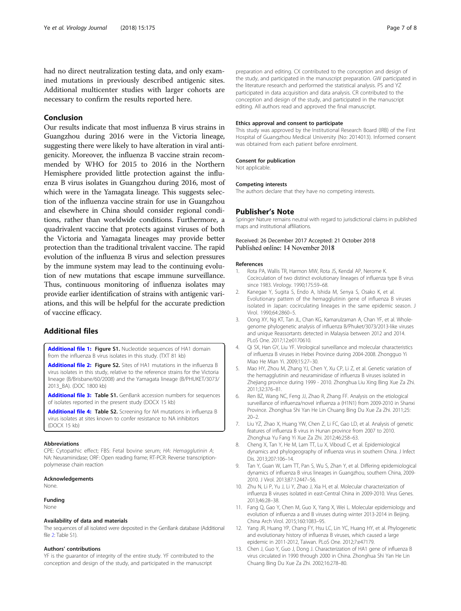<span id="page-6-0"></span>had no direct neutralization testing data, and only examined mutations in previously described antigenic sites. Additional multicenter studies with larger cohorts are necessary to confirm the results reported here.

## Conclusion

Our results indicate that most influenza B virus strains in Guangzhou during 2016 were in the Victoria lineage, suggesting there were likely to have alteration in viral antigenicity. Moreover, the influenza B vaccine strain recommended by WHO for 2015 to 2016 in the Northern Hemisphere provided little protection against the influenza B virus isolates in Guangzhou during 2016, most of which were in the Yamagata lineage. This suggests selection of the influenza vaccine strain for use in Guangzhou and elsewhere in China should consider regional conditions, rather than worldwide conditions. Furthermore, a quadrivalent vaccine that protects against viruses of both the Victoria and Yamagata lineages may provide better protection than the traditional trivalent vaccine. The rapid evolution of the influenza B virus and selection pressures by the immune system may lead to the continuing evolution of new mutations that escape immune surveillance. Thus, continuous monitoring of influenza isolates may provide earlier identification of strains with antigenic variations, and this will be helpful for the accurate prediction of vaccine efficacy.

## Additional files

[Additional file 1:](https://doi.org/10.1186/s12985-018-1085-5) Figure S1. Nucleotide sequences of HA1 domain from the influenza B virus isolates in this study. (TXT 81 kb)

[Additional file 2:](https://doi.org/10.1186/s12985-018-1085-5) Figure S2. Sites of HA1 mutations in the influenza B virus isolates in this study, relative to the reference strains for the Victoria lineage (B/Brisbane/60/2008) and the Yamagata lineage (B/PHUKET/3073/ 2013\_BA). (DOC 1800 kb)

[Additional file 3:](https://doi.org/10.1186/s12985-018-1085-5) Table S1. GenBank accession numbers for sequences of isolates reported in the present study (DOCX 15 kb)

[Additional file 4:](https://doi.org/10.1186/s12985-018-1085-5) Table S2. Screening for NA mutations in influenza B virus isolates at sites known to confer resistance to NA inhibitors (DOCX 15 kb)

#### Abbreviations

CPE: Cytopathic effect; FBS: Fetal bovine serum; HA: Hemagglutinin A; NA: Neuraminidase; ORF: Open reading frame; RT-PCR: Reverse transcriptionpolymerase chain reaction

#### Acknowledgements

None.

## Funding

None

## Availability of data and materials

The sequences of all isolated were deposited in the GenBank database (Additional file 2: Table S1).

#### Authors' contributions

YF is the guarantor of integrity of the entire study. YF contributed to the conception and design of the study, and participated in the manuscript

preparation and editing. CX contributed to the conception and design of the study, and participated in the manuscript preparation. GW participated in the literature research and performed the statistical analysis. PS and YZ participated in data acquisition and data analysis. CR contributed to the conception and design of the study, and participated in the manuscript editing. All authors read and approved the final manuscript.

#### Ethics approval and consent to participate

This study was approved by the Institutional Research Board (IRB) of the First Hospital of Guangzhou Medical University (No: 2014013). Informed consent was obtained from each patient before enrolment.

#### Consent for publication

Not applicable.

#### Competing interests

The authors declare that they have no competing interests.

#### Publisher's Note

Springer Nature remains neutral with regard to jurisdictional claims in published maps and institutional affiliations.

#### Received: 26 December 2017 Accepted: 21 October 2018 Published online: 14 November 2018

#### References

- 1. Rota PA, Wallis TR, Harmon MW, Rota JS, Kendal AP, Nerome K. Cocirculation of two distinct evolutionary lineages of influenza type B virus since 1983. Virology. 1990;175:59–68.
- 2. Kanegae Y, Sugita S, Endo A, Ishida M, Senya S, Osako K, et al. Evolutionary pattern of the hemagglutinin gene of influenza B viruses isolated in Japan: cocirculating lineages in the same epidemic season. J Virol. 1990;64:2860–5.
- 3. Oong XY, Ng KT, Tan JL, Chan KG, Kamarulzaman A, Chan YF, et al. Wholegenome phylogenetic analysis of influenza B/Phuket/3073/2013-like viruses and unique Reassortants detected in Malaysia between 2012 and 2014. PLoS One. 2017;12:e0170610.
- 4. Qi SX, Han GY, Liu YF. Virological surveillance and molecular characteristics of influenza B viruses in Hebei Province during 2004-2008. Zhongguo Yi Miao He Mian Yi. 2009;15:27–30.
- 5. Mao HY, Zhou M, Zhang YJ, Chen Y, Xu CP, Li Z, et al. Genetic variation of the hemagglutinin and neuraminidase of influenza B viruses isolated in Zhejiang province during 1999 - 2010. Zhonghua Liu Xing Bing Xue Za Zhi. 2011;32:376–81.
- 6. Ren BZ, Wang NC, Feng JJ, Zhao R, Zhang FF. Analysis on the etiological surveillance of influenza/novel influenza a (H1N1) from 2009-2010 in Shanxi Province. Zhonghua Shi Yan He Lin Chuang Bing Du Xue Za Zhi. 2011;25: 20–2.
- 7. Liu YZ, Zhao X, Huang YW, Chen Z, Li FC, Gao LD, et al. Analysis of genetic features of influenza B virus in Hunan province from 2007 to 2010. Zhonghua Yu Fang Yi Xue Za Zhi. 2012;46:258–63.
- 8. Cheng X, Tan Y, He M, Lam TT, Lu X, Viboud C, et al. Epidemiological dynamics and phylogeography of influenza virus in southern China. J Infect Dis. 2013;207:106–14.
- 9. Tan Y, Guan W, Lam TT, Pan S, Wu S, Zhan Y, et al. Differing epidemiological dynamics of influenza B virus lineages in Guangzhou, southern China, 2009- 2010. J Virol. 2013;87:12447–56.
- 10. Zhu N, Li P, Yu J, Li Y, Zhao J, Xia H, et al. Molecular characterization of influenza B viruses isolated in east-Central China in 2009-2010. Virus Genes. 2013;46:28–38.
- 11. Fang Q, Gao Y, Chen M, Guo X, Yang X, Wei L. Molecular epidemiology and evolution of influenza a and B viruses during winter 2013-2014 in Beijing. China Arch Virol. 2015;160:1083–95.
- 12. Yang JR, Huang YP, Chang FY, Hsu LC, Lin YC, Huang HY, et al. Phylogenetic and evolutionary history of influenza B viruses, which caused a large epidemic in 2011-2012, Taiwan. PLoS One. 2012;7:e47179.
- 13. Chen J, Guo Y, Guo J, Dong J. Characterization of HA1 gene of influenza B virus circulated in 1990 through 2000 in China. Zhonghua Shi Yan He Lin Chuang Bing Du Xue Za Zhi. 2002;16:278–80.